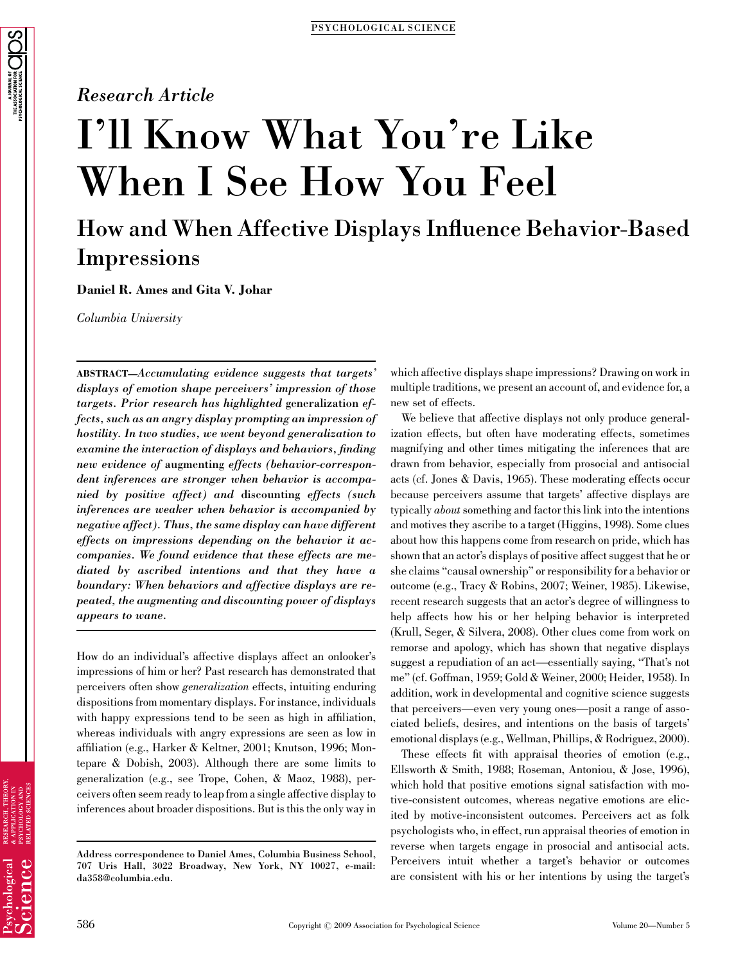Research Article

# I'll Know What You're Like When I See How You Feel

# How and When Affective Displays Influence Behavior-Based **Impressions**

Daniel R. Ames and Gita V. Johar

Columbia University

ABSTRACT—Accumulating evidence suggests that targets' displays of emotion shape perceivers' impression of those targets. Prior research has highlighted generalization effects, such as an angry display prompting an impression of hostility. In two studies, we went beyond generalization to examine the interaction of displays and behaviors, finding new evidence of augmenting effects (behavior-correspondent inferences are stronger when behavior is accompanied by positive affect) and discounting effects (such inferences are weaker when behavior is accompanied by negative affect). Thus, the same display can have different effects on impressions depending on the behavior it accompanies. We found evidence that these effects are mediated by ascribed intentions and that they have a boundary: When behaviors and affective displays are repeated, the augmenting and discounting power of displays appears to wane.

How do an individual's affective displays affect an onlooker's impressions of him or her? Past research has demonstrated that perceivers often show generalization effects, intuiting enduring dispositions from momentary displays. For instance, individuals with happy expressions tend to be seen as high in affiliation, whereas individuals with angry expressions are seen as low in affiliation (e.g., Harker & Keltner, 2001; Knutson, 1996; Montepare & Dobish, 2003). Although there are some limits to generalization (e.g., see Trope, Cohen, & Maoz, 1988), perceivers often seem ready to leap from a single affective display to inferences about broader dispositions. But is this the only way in

which affective displays shape impressions? Drawing on work in multiple traditions, we present an account of, and evidence for, a new set of effects.

We believe that affective displays not only produce generalization effects, but often have moderating effects, sometimes magnifying and other times mitigating the inferences that are drawn from behavior, especially from prosocial and antisocial acts (cf. Jones & Davis, 1965). These moderating effects occur because perceivers assume that targets' affective displays are typically *about* something and factor this link into the intentions and motives they ascribe to a target (Higgins, 1998). Some clues about how this happens come from research on pride, which has shown that an actor's displays of positive affect suggest that he or she claims ''causal ownership'' or responsibility for a behavior or outcome (e.g., Tracy & Robins, 2007; Weiner, 1985). Likewise, recent research suggests that an actor's degree of willingness to help affects how his or her helping behavior is interpreted (Krull, Seger, & Silvera, 2008). Other clues come from work on remorse and apology, which has shown that negative displays suggest a repudiation of an act—essentially saying, ''That's not me'' (cf. Goffman, 1959; Gold & Weiner, 2000; Heider, 1958). In addition, work in developmental and cognitive science suggests that perceivers—even very young ones—posit a range of associated beliefs, desires, and intentions on the basis of targets' emotional displays (e.g., Wellman, Phillips, & Rodriguez, 2000).

These effects fit with appraisal theories of emotion (e.g., Ellsworth & Smith, 1988; Roseman, Antoniou, & Jose, 1996), which hold that positive emotions signal satisfaction with motive-consistent outcomes, whereas negative emotions are elicited by motive-inconsistent outcomes. Perceivers act as folk psychologists who, in effect, run appraisal theories of emotion in reverse when targets engage in prosocial and antisocial acts. Perceivers intuit whether a target's behavior or outcomes are consistent with his or her intentions by using the target's

Address correspondence to Daniel Ames, Columbia Business School, 707 Uris Hall, 3022 Broadway, New York, NY 10027, e-mail: da358@columbia.edu.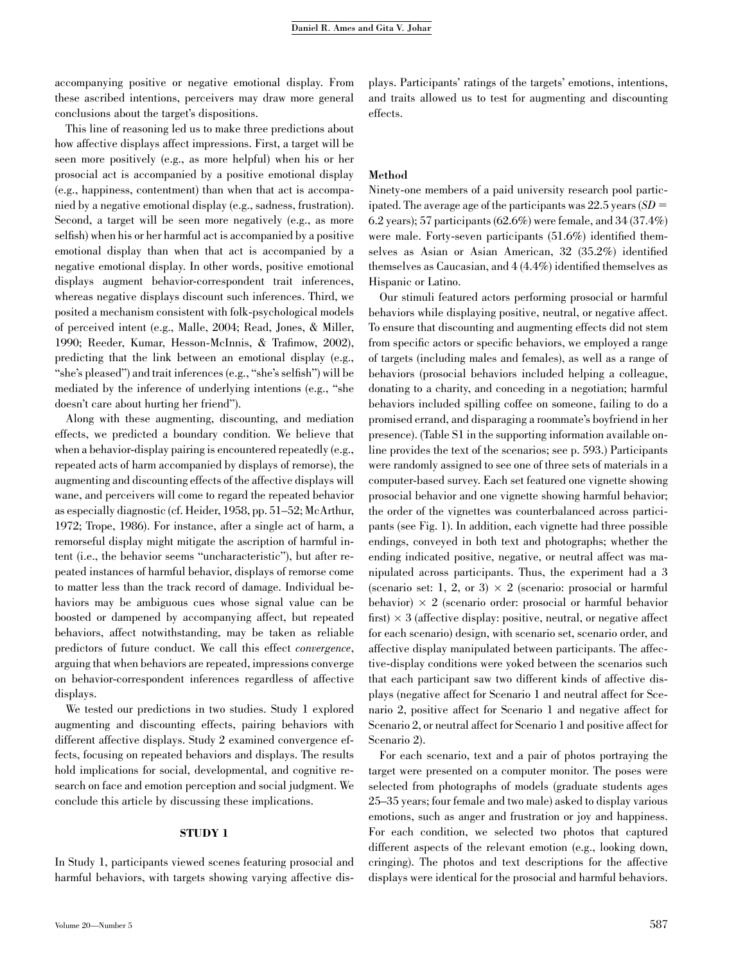accompanying positive or negative emotional display. From these ascribed intentions, perceivers may draw more general conclusions about the target's dispositions.

This line of reasoning led us to make three predictions about how affective displays affect impressions. First, a target will be seen more positively (e.g., as more helpful) when his or her prosocial act is accompanied by a positive emotional display (e.g., happiness, contentment) than when that act is accompanied by a negative emotional display (e.g., sadness, frustration). Second, a target will be seen more negatively (e.g., as more selfish) when his or her harmful act is accompanied by a positive emotional display than when that act is accompanied by a negative emotional display. In other words, positive emotional displays augment behavior-correspondent trait inferences, whereas negative displays discount such inferences. Third, we posited a mechanism consistent with folk-psychological models of perceived intent (e.g., Malle, 2004; Read, Jones, & Miller, 1990; Reeder, Kumar, Hesson-McInnis, & Trafimow, 2002), predicting that the link between an emotional display (e.g., "she's pleased") and trait inferences (e.g., "she's selfish") will be mediated by the inference of underlying intentions (e.g., ''she doesn't care about hurting her friend'').

Along with these augmenting, discounting, and mediation effects, we predicted a boundary condition. We believe that when a behavior-display pairing is encountered repeatedly (e.g., repeated acts of harm accompanied by displays of remorse), the augmenting and discounting effects of the affective displays will wane, and perceivers will come to regard the repeated behavior as especially diagnostic (cf. Heider, 1958, pp. 51–52; McArthur, 1972; Trope, 1986). For instance, after a single act of harm, a remorseful display might mitigate the ascription of harmful intent (i.e., the behavior seems ''uncharacteristic''), but after repeated instances of harmful behavior, displays of remorse come to matter less than the track record of damage. Individual behaviors may be ambiguous cues whose signal value can be boosted or dampened by accompanying affect, but repeated behaviors, affect notwithstanding, may be taken as reliable predictors of future conduct. We call this effect convergence, arguing that when behaviors are repeated, impressions converge on behavior-correspondent inferences regardless of affective displays.

We tested our predictions in two studies. Study 1 explored augmenting and discounting effects, pairing behaviors with different affective displays. Study 2 examined convergence effects, focusing on repeated behaviors and displays. The results hold implications for social, developmental, and cognitive research on face and emotion perception and social judgment. We conclude this article by discussing these implications.

# STUDY 1

In Study 1, participants viewed scenes featuring prosocial and harmful behaviors, with targets showing varying affective dis-

plays. Participants' ratings of the targets' emotions, intentions, and traits allowed us to test for augmenting and discounting effects.

#### Method

Ninety-one members of a paid university research pool participated. The average age of the participants was  $22.5$  years  $SD =$ 6.2 years); 57 participants (62.6%) were female, and 34 (37.4%) were male. Forty-seven participants (51.6%) identified themselves as Asian or Asian American, 32 (35.2%) identified themselves as Caucasian, and 4 (4.4%) identified themselves as Hispanic or Latino.

Our stimuli featured actors performing prosocial or harmful behaviors while displaying positive, neutral, or negative affect. To ensure that discounting and augmenting effects did not stem from specific actors or specific behaviors, we employed a range of targets (including males and females), as well as a range of behaviors (prosocial behaviors included helping a colleague, donating to a charity, and conceding in a negotiation; harmful behaviors included spilling coffee on someone, failing to do a promised errand, and disparaging a roommate's boyfriend in her presence). (Table S1 in the supporting information available online provides the text of the scenarios; see p. 593.) Participants were randomly assigned to see one of three sets of materials in a computer-based survey. Each set featured one vignette showing prosocial behavior and one vignette showing harmful behavior; the order of the vignettes was counterbalanced across participants (see Fig. 1). In addition, each vignette had three possible endings, conveyed in both text and photographs; whether the ending indicated positive, negative, or neutral affect was manipulated across participants. Thus, the experiment had a 3 (scenario set: 1, 2, or 3)  $\times$  2 (scenario: prosocial or harmful behavior)  $\times$  2 (scenario order: prosocial or harmful behavior first)  $\times$  3 (affective display: positive, neutral, or negative affect for each scenario) design, with scenario set, scenario order, and affective display manipulated between participants. The affective-display conditions were yoked between the scenarios such that each participant saw two different kinds of affective displays (negative affect for Scenario 1 and neutral affect for Scenario 2, positive affect for Scenario 1 and negative affect for Scenario 2, or neutral affect for Scenario 1 and positive affect for Scenario 2).

For each scenario, text and a pair of photos portraying the target were presented on a computer monitor. The poses were selected from photographs of models (graduate students ages 25–35 years; four female and two male) asked to display various emotions, such as anger and frustration or joy and happiness. For each condition, we selected two photos that captured different aspects of the relevant emotion (e.g., looking down, cringing). The photos and text descriptions for the affective displays were identical for the prosocial and harmful behaviors.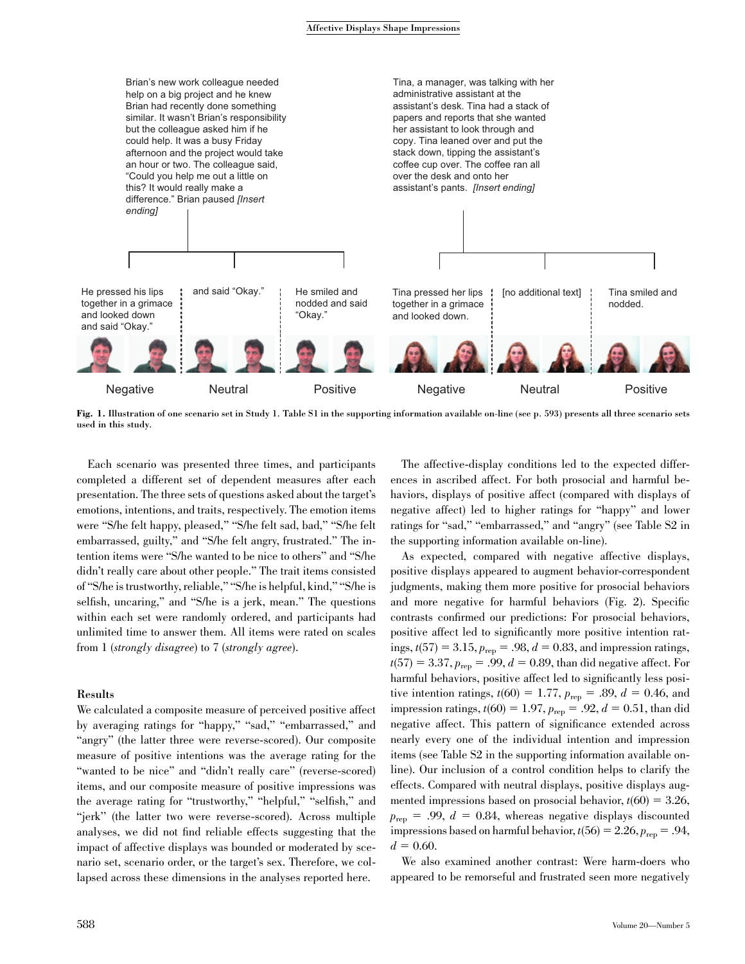#### Affective Displays Shape Impressions



Fig. 1. Illustration of one scenario set in Study 1. Table S1 in the supporting information available on-line (see p. 593) presents all three scenario sets used in this study.

Each scenario was presented three times, and participants completed a different set of dependent measures after each presentation. The three sets of questions asked about the target's emotions, intentions, and traits, respectively. The emotion items were "S/he felt happy, pleased," "S/he felt sad, bad," "S/he felt embarrassed, guilty," and "S/he felt angry, frustrated." The intention items were ''S/he wanted to be nice to others'' and ''S/he didn't really care about other people.'' The trait items consisted of ''S/he is trustworthy, reliable,'' ''S/he is helpful, kind,'' ''S/he is selfish, uncaring," and "S/he is a jerk, mean." The questions within each set were randomly ordered, and participants had unlimited time to answer them. All items were rated on scales from 1 (strongly disagree) to 7 (strongly agree).

## Results

We calculated a composite measure of perceived positive affect by averaging ratings for "happy," "sad," "embarrassed," and "angry" (the latter three were reverse-scored). Our composite measure of positive intentions was the average rating for the "wanted to be nice" and "didn't really care" (reverse-scored) items, and our composite measure of positive impressions was the average rating for "trustworthy," "helpful," "selfish," and "jerk" (the latter two were reverse-scored). Across multiple analyses, we did not find reliable effects suggesting that the impact of affective displays was bounded or moderated by scenario set, scenario order, or the target's sex. Therefore, we collapsed across these dimensions in the analyses reported here.

The affective-display conditions led to the expected differences in ascribed affect. For both prosocial and harmful behaviors, displays of positive affect (compared with displays of negative affect) led to higher ratings for ''happy'' and lower ratings for "sad," "embarrassed," and "angry" (see Table S2 in the supporting information available on-line).

As expected, compared with negative affective displays, positive displays appeared to augment behavior-correspondent judgments, making them more positive for prosocial behaviors and more negative for harmful behaviors (Fig. 2). Specific contrasts confirmed our predictions: For prosocial behaviors, positive affect led to significantly more positive intention ratings,  $t(57) = 3.15$ ,  $p_{rep} = .98$ ,  $d = 0.83$ , and impression ratings,  $t(57) = 3.37, p_{\text{rep}} = .99, d = 0.89,$  than did negative affect. For harmful behaviors, positive affect led to significantly less positive intention ratings,  $t(60) = 1.77$ ,  $p_{rep} = .89$ ,  $d = 0.46$ , and impression ratings,  $t(60) = 1.97$ ,  $p_{\text{rep}} = .92$ ,  $d = 0.51$ , than did negative affect. This pattern of significance extended across nearly every one of the individual intention and impression items (see Table S2 in the supporting information available online). Our inclusion of a control condition helps to clarify the effects. Compared with neutral displays, positive displays augmented impressions based on prosocial behavior,  $t(60) = 3.26$ ,  $p_{\text{rep}} = .99, d = 0.84$ , whereas negative displays discounted impressions based on harmful behavior,  $t(56) = 2.26$ ,  $p_{\text{ren}} = .94$ ,  $d = 0.60$ .

We also examined another contrast: Were harm-doers who appeared to be remorseful and frustrated seen more negatively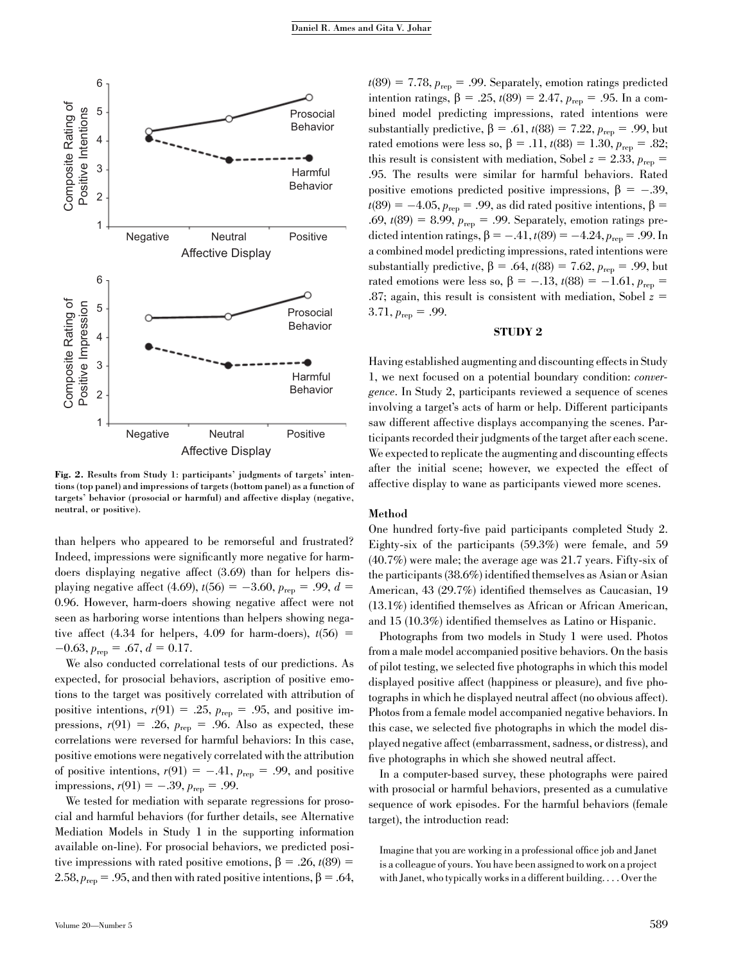

Fig. 2. Results from Study 1: participants' judgments of targets' intentions (top panel) and impressions of targets (bottom panel) as a function of targets' behavior (prosocial or harmful) and affective display (negative, neutral, or positive).

than helpers who appeared to be remorseful and frustrated? Indeed, impressions were significantly more negative for harmdoers displaying negative affect (3.69) than for helpers displaying negative affect (4.69),  $t(56) = -3.60$ ,  $p_{\text{rep}} = .99$ ,  $d =$ 0.96. However, harm-doers showing negative affect were not seen as harboring worse intentions than helpers showing negative affect (4.34 for helpers, 4.09 for harm-doers),  $t(56)$  =  $-0.63$ ,  $p_{\text{rep}} = .67$ ,  $d = 0.17$ .

We also conducted correlational tests of our predictions. As expected, for prosocial behaviors, ascription of positive emotions to the target was positively correlated with attribution of positive intentions,  $r(91) = .25$ ,  $p_{\text{rep}} = .95$ , and positive impressions,  $r(91) = .26$ ,  $p_{\text{rep}} = .96$ . Also as expected, these correlations were reversed for harmful behaviors: In this case, positive emotions were negatively correlated with the attribution of positive intentions,  $r(91) = -.41$ ,  $p_{\text{rep}} = .99$ , and positive impressions,  $r(91) = -.39$ ,  $p_{ren} = .99$ .

We tested for mediation with separate regressions for prosocial and harmful behaviors (for further details, see Alternative Mediation Models in Study 1 in the supporting information available on-line). For prosocial behaviors, we predicted positive impressions with rated positive emotions,  $\beta = .26$ ,  $t(89) =$ 2.58,  $p_{\text{rep}} = .95$ , and then with rated positive intentions,  $\beta = .64$ ,

 $t(89) = 7.78$ ,  $p_{\text{rep}} = .99$ . Separately, emotion ratings predicted intention ratings,  $\beta = .25$ ,  $t(89) = 2.47$ ,  $p_{\text{rep}} = .95$ . In a combined model predicting impressions, rated intentions were substantially predictive,  $\beta = .61$ ,  $t(88) = 7.22$ ,  $p_{\text{rep}} = .99$ , but rated emotions were less so,  $\beta = .11, t(88) = 1.30, p_{\text{ren}} = .82;$ this result is consistent with mediation, Sobel  $z = 2.33$ ,  $p_{\text{ren}} =$ .95. The results were similar for harmful behaviors. Rated positive emotions predicted positive impressions,  $\beta = -.39$ ,  $t(89) = -4.05$ ,  $p_{\text{rep}} = .99$ , as did rated positive intentions,  $\beta =$ .69,  $t(89) = 8.99$ ,  $p_{\text{rep}} = .99$ . Separately, emotion ratings predicted intention ratings,  $\beta = -.41, t(89) = -4.24, p_{\text{rep}} = .99$ . In a combined model predicting impressions, rated intentions were substantially predictive,  $\beta = .64$ ,  $t(88) = 7.62$ ,  $p_{\text{rep}} = .99$ , but rated emotions were less so,  $\beta = -.13$ ,  $t(88) = -1.61$ ,  $p_{rep} =$ .87; again, this result is consistent with mediation, Sobel  $z =$  $3.71, p_{\text{rep}} = .99.$ 

#### STUDY 2

Having established augmenting and discounting effects in Study 1, we next focused on a potential boundary condition: convergence. In Study 2, participants reviewed a sequence of scenes involving a target's acts of harm or help. Different participants saw different affective displays accompanying the scenes. Participants recorded their judgments of the target after each scene. We expected to replicate the augmenting and discounting effects after the initial scene; however, we expected the effect of affective display to wane as participants viewed more scenes.

#### Method

One hundred forty-five paid participants completed Study 2. Eighty-six of the participants (59.3%) were female, and 59 (40.7%) were male; the average age was 21.7 years. Fifty-six of the participants (38.6%) identified themselves as Asian or Asian American, 43 (29.7%) identified themselves as Caucasian, 19 (13.1%) identified themselves as African or African American, and 15 (10.3%) identified themselves as Latino or Hispanic.

Photographs from two models in Study 1 were used. Photos from a male model accompanied positive behaviors. On the basis of pilot testing, we selected five photographs in which this model displayed positive affect (happiness or pleasure), and five photographs in which he displayed neutral affect (no obvious affect). Photos from a female model accompanied negative behaviors. In this case, we selected five photographs in which the model displayed negative affect (embarrassment, sadness, or distress), and five photographs in which she showed neutral affect.

In a computer-based survey, these photographs were paired with prosocial or harmful behaviors, presented as a cumulative sequence of work episodes. For the harmful behaviors (female target), the introduction read:

Imagine that you are working in a professional office job and Janet is a colleague of yours. You have been assigned to work on a project with Janet, who typically works in a different building. . . . Over the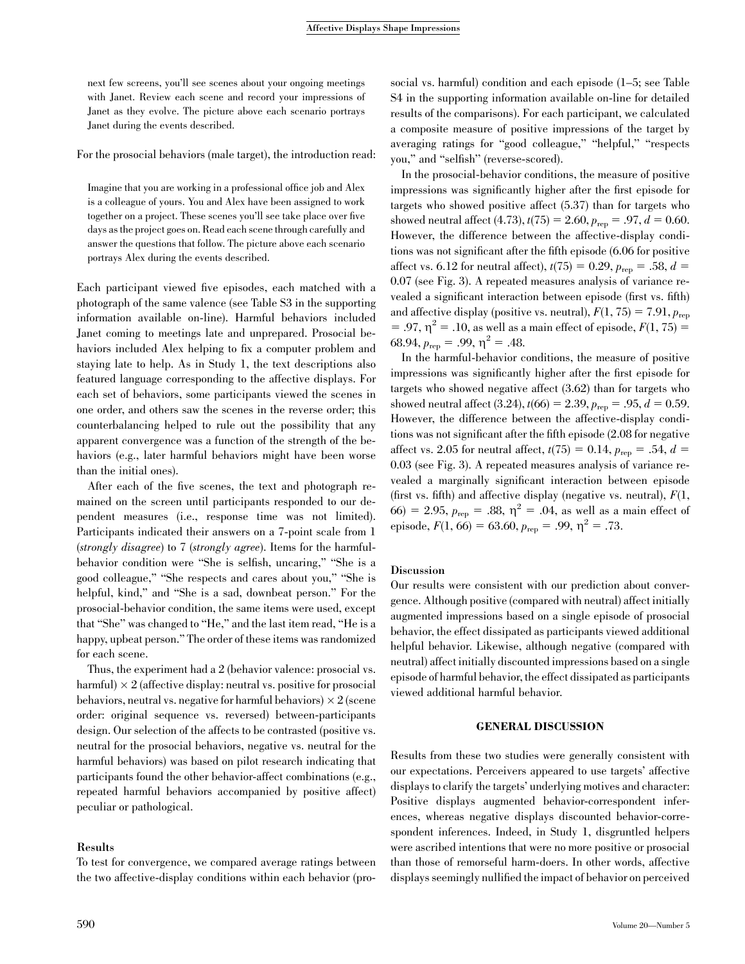next few screens, you'll see scenes about your ongoing meetings with Janet. Review each scene and record your impressions of Janet as they evolve. The picture above each scenario portrays Janet during the events described.

For the prosocial behaviors (male target), the introduction read:

Imagine that you are working in a professional office job and Alex is a colleague of yours. You and Alex have been assigned to work together on a project. These scenes you'll see take place over five days as the project goes on. Read each scene through carefully and answer the questions that follow. The picture above each scenario portrays Alex during the events described.

Each participant viewed five episodes, each matched with a photograph of the same valence (see Table S3 in the supporting information available on-line). Harmful behaviors included Janet coming to meetings late and unprepared. Prosocial behaviors included Alex helping to fix a computer problem and staying late to help. As in Study 1, the text descriptions also featured language corresponding to the affective displays. For each set of behaviors, some participants viewed the scenes in one order, and others saw the scenes in the reverse order; this counterbalancing helped to rule out the possibility that any apparent convergence was a function of the strength of the behaviors (e.g., later harmful behaviors might have been worse than the initial ones).

After each of the five scenes, the text and photograph remained on the screen until participants responded to our dependent measures (i.e., response time was not limited). Participants indicated their answers on a 7-point scale from 1 (strongly disagree) to 7 (strongly agree). Items for the harmfulbehavior condition were ''She is selfish, uncaring,'' ''She is a good colleague,'' ''She respects and cares about you,'' ''She is helpful, kind," and "She is a sad, downbeat person." For the prosocial-behavior condition, the same items were used, except that ''She'' was changed to ''He,'' and the last item read, ''He is a happy, upbeat person." The order of these items was randomized for each scene.

Thus, the experiment had a 2 (behavior valence: prosocial vs. harmful)  $\times$  2 (affective display: neutral vs. positive for prosocial behaviors, neutral vs. negative for harmful behaviors)  $\times$  2 (scene order: original sequence vs. reversed) between-participants design. Our selection of the affects to be contrasted (positive vs. neutral for the prosocial behaviors, negative vs. neutral for the harmful behaviors) was based on pilot research indicating that participants found the other behavior-affect combinations (e.g., repeated harmful behaviors accompanied by positive affect) peculiar or pathological.

#### Results

To test for convergence, we compared average ratings between the two affective-display conditions within each behavior (prosocial vs. harmful) condition and each episode (1–5; see Table S4 in the supporting information available on-line for detailed results of the comparisons). For each participant, we calculated a composite measure of positive impressions of the target by averaging ratings for ''good colleague,'' ''helpful,'' ''respects you,'' and ''selfish'' (reverse-scored).

In the prosocial-behavior conditions, the measure of positive impressions was significantly higher after the first episode for targets who showed positive affect (5.37) than for targets who showed neutral affect (4.73),  $t(75) = 2.60$ ,  $p_{\text{ren}} = .97$ ,  $d = 0.60$ . However, the difference between the affective-display conditions was not significant after the fifth episode (6.06 for positive affect vs. 6.12 for neutral affect),  $t(75) = 0.29$ ,  $p_{rep} = .58$ ,  $d =$ 0.07 (see Fig. 3). A repeated measures analysis of variance revealed a significant interaction between episode (first vs. fifth) and affective display (positive vs. neutral),  $F(1, 75) = 7.91$ ,  $p_{\text{ren}}$  $= .97, \eta^2 = .10$ , as well as a main effect of episode,  $F(1, 75) =$ 68.94,  $p_{\text{rep}} = .99$ ,  $\eta^2 = .48$ .

In the harmful-behavior conditions, the measure of positive impressions was significantly higher after the first episode for targets who showed negative affect (3.62) than for targets who showed neutral affect (3.24),  $t(66) = 2.39$ ,  $p_{\text{rep}} = .95$ ,  $d = 0.59$ . However, the difference between the affective-display conditions was not significant after the fifth episode (2.08 for negative affect vs. 2.05 for neutral affect,  $t(75) = 0.14$ ,  $p_{\text{rep}} = .54$ ,  $d =$ 0.03 (see Fig. 3). A repeated measures analysis of variance revealed a marginally significant interaction between episode (first vs. fifth) and affective display (negative vs. neutral),  $F(1, 0)$ 66) = 2.95,  $p_{\text{rep}}$  = .88,  $\eta^2$  = .04, as well as a main effect of episode,  $F(1, 66) = 63.60, p_{\text{rep}} = .99, \eta^2 = .73.$ 

#### Discussion

Our results were consistent with our prediction about convergence. Although positive (compared with neutral) affect initially augmented impressions based on a single episode of prosocial behavior, the effect dissipated as participants viewed additional helpful behavior. Likewise, although negative (compared with neutral) affect initially discounted impressions based on a single episode of harmful behavior, the effect dissipated as participants viewed additional harmful behavior.

## GENERAL DISCUSSION

Results from these two studies were generally consistent with our expectations. Perceivers appeared to use targets' affective displays to clarify the targets' underlying motives and character: Positive displays augmented behavior-correspondent inferences, whereas negative displays discounted behavior-correspondent inferences. Indeed, in Study 1, disgruntled helpers were ascribed intentions that were no more positive or prosocial than those of remorseful harm-doers. In other words, affective displays seemingly nullified the impact of behavior on perceived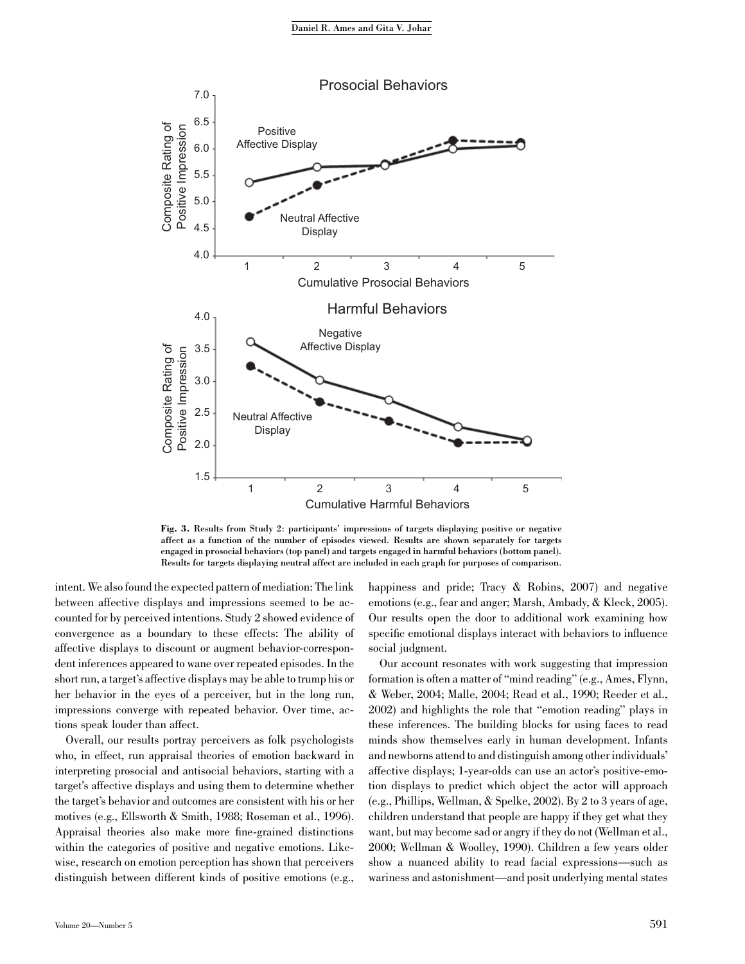

Fig. 3. Results from Study 2: participants' impressions of targets displaying positive or negative affect as a function of the number of episodes viewed. Results are shown separately for targets engaged in prosocial behaviors (top panel) and targets engaged in harmful behaviors (bottom panel). Results for targets displaying neutral affect are included in each graph for purposes of comparison.

intent. We also found the expected pattern of mediation: The link between affective displays and impressions seemed to be accounted for by perceived intentions. Study 2 showed evidence of convergence as a boundary to these effects: The ability of affective displays to discount or augment behavior-correspondent inferences appeared to wane over repeated episodes. In the short run, a target's affective displays may be able to trump his or her behavior in the eyes of a perceiver, but in the long run, impressions converge with repeated behavior. Over time, actions speak louder than affect.

Overall, our results portray perceivers as folk psychologists who, in effect, run appraisal theories of emotion backward in interpreting prosocial and antisocial behaviors, starting with a target's affective displays and using them to determine whether the target's behavior and outcomes are consistent with his or her motives (e.g., Ellsworth & Smith, 1988; Roseman et al., 1996). Appraisal theories also make more fine-grained distinctions within the categories of positive and negative emotions. Likewise, research on emotion perception has shown that perceivers distinguish between different kinds of positive emotions (e.g., happiness and pride; Tracy & Robins, 2007) and negative emotions (e.g., fear and anger; Marsh, Ambady, & Kleck, 2005). Our results open the door to additional work examining how specific emotional displays interact with behaviors to influence social judgment.

Our account resonates with work suggesting that impression formation is often a matter of ''mind reading'' (e.g., Ames, Flynn, & Weber, 2004; Malle, 2004; Read et al., 1990; Reeder et al., 2002) and highlights the role that ''emotion reading'' plays in these inferences. The building blocks for using faces to read minds show themselves early in human development. Infants and newborns attend to and distinguish among other individuals' affective displays; 1-year-olds can use an actor's positive-emotion displays to predict which object the actor will approach (e.g., Phillips, Wellman, & Spelke, 2002). By 2 to 3 years of age, children understand that people are happy if they get what they want, but may become sad or angry if they do not (Wellman et al., 2000; Wellman & Woolley, 1990). Children a few years older show a nuanced ability to read facial expressions—such as wariness and astonishment—and posit underlying mental states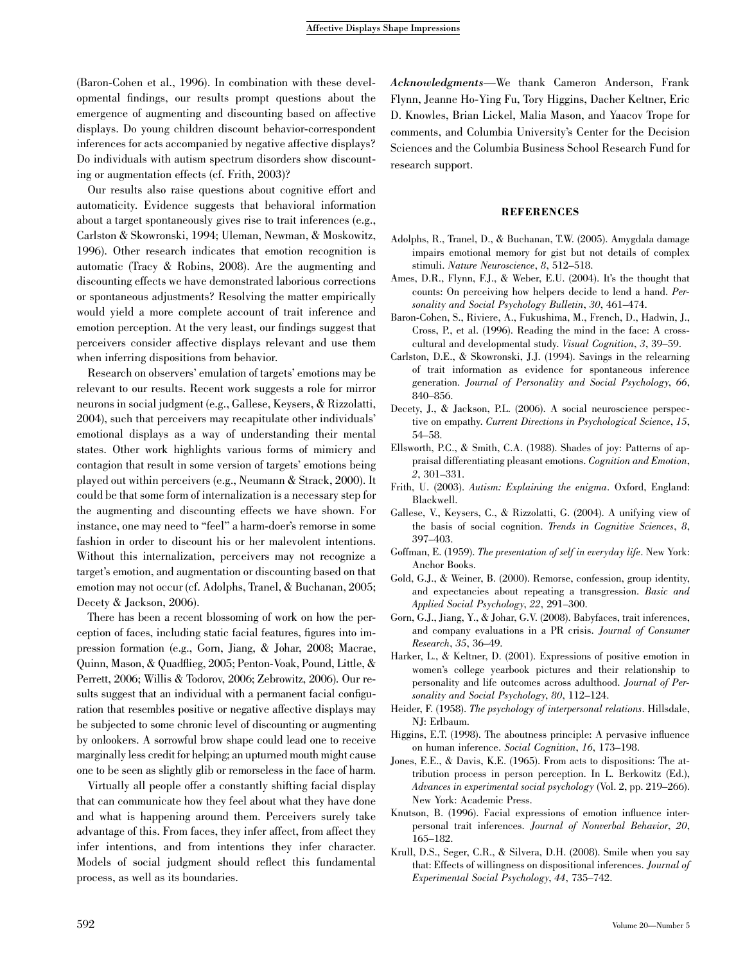(Baron-Cohen et al., 1996). In combination with these developmental findings, our results prompt questions about the emergence of augmenting and discounting based on affective displays. Do young children discount behavior-correspondent inferences for acts accompanied by negative affective displays? Do individuals with autism spectrum disorders show discounting or augmentation effects (cf. Frith, 2003)?

Our results also raise questions about cognitive effort and automaticity. Evidence suggests that behavioral information about a target spontaneously gives rise to trait inferences (e.g., Carlston & Skowronski, 1994; Uleman, Newman, & Moskowitz, 1996). Other research indicates that emotion recognition is automatic (Tracy & Robins, 2008). Are the augmenting and discounting effects we have demonstrated laborious corrections or spontaneous adjustments? Resolving the matter empirically would yield a more complete account of trait inference and emotion perception. At the very least, our findings suggest that perceivers consider affective displays relevant and use them when inferring dispositions from behavior.

Research on observers' emulation of targets' emotions may be relevant to our results. Recent work suggests a role for mirror neurons in social judgment (e.g., Gallese, Keysers, & Rizzolatti, 2004), such that perceivers may recapitulate other individuals' emotional displays as a way of understanding their mental states. Other work highlights various forms of mimicry and contagion that result in some version of targets' emotions being played out within perceivers (e.g., Neumann & Strack, 2000). It could be that some form of internalization is a necessary step for the augmenting and discounting effects we have shown. For instance, one may need to "feel" a harm-doer's remorse in some fashion in order to discount his or her malevolent intentions. Without this internalization, perceivers may not recognize a target's emotion, and augmentation or discounting based on that emotion may not occur (cf. Adolphs, Tranel, & Buchanan, 2005; Decety & Jackson, 2006).

There has been a recent blossoming of work on how the perception of faces, including static facial features, figures into impression formation (e.g., Gorn, Jiang, & Johar, 2008; Macrae, Quinn, Mason, & Quadflieg, 2005; Penton-Voak, Pound, Little, & Perrett, 2006; Willis & Todorov, 2006; Zebrowitz, 2006). Our results suggest that an individual with a permanent facial configuration that resembles positive or negative affective displays may be subjected to some chronic level of discounting or augmenting by onlookers. A sorrowful brow shape could lead one to receive marginally less credit for helping; an upturned mouth might cause one to be seen as slightly glib or remorseless in the face of harm.

Virtually all people offer a constantly shifting facial display that can communicate how they feel about what they have done and what is happening around them. Perceivers surely take advantage of this. From faces, they infer affect, from affect they infer intentions, and from intentions they infer character. Models of social judgment should reflect this fundamental process, as well as its boundaries.

Acknowledgments—We thank Cameron Anderson, Frank Flynn, Jeanne Ho-Ying Fu, Tory Higgins, Dacher Keltner, Eric D. Knowles, Brian Lickel, Malia Mason, and Yaacov Trope for comments, and Columbia University's Center for the Decision Sciences and the Columbia Business School Research Fund for research support.

#### **REFERENCES**

- Adolphs, R., Tranel, D., & Buchanan, T.W. (2005). Amygdala damage impairs emotional memory for gist but not details of complex stimuli. Nature Neuroscience, 8, 512–518.
- Ames, D.R., Flynn, F.J., & Weber, E.U. (2004). It's the thought that counts: On perceiving how helpers decide to lend a hand. Personality and Social Psychology Bulletin, 30, 461–474.
- Baron-Cohen, S., Riviere, A., Fukushima, M., French, D., Hadwin, J., Cross, P., et al. (1996). Reading the mind in the face: A crosscultural and developmental study. Visual Cognition, 3, 39–59.
- Carlston, D.E., & Skowronski, J.J. (1994). Savings in the relearning of trait information as evidence for spontaneous inference generation. Journal of Personality and Social Psychology, 66, 840–856.
- Decety, J., & Jackson, P.L. (2006). A social neuroscience perspective on empathy. Current Directions in Psychological Science, 15, 54–58.
- Ellsworth, P.C., & Smith, C.A. (1988). Shades of joy: Patterns of appraisal differentiating pleasant emotions. Cognition and Emotion, 2, 301–331.
- Frith, U. (2003). Autism: Explaining the enigma. Oxford, England: Blackwell.
- Gallese, V., Keysers, C., & Rizzolatti, G. (2004). A unifying view of the basis of social cognition. Trends in Cognitive Sciences, 8, 397–403.
- Goffman, E. (1959). The presentation of self in everyday life. New York: Anchor Books.
- Gold, G.J., & Weiner, B. (2000). Remorse, confession, group identity, and expectancies about repeating a transgression. Basic and Applied Social Psychology, 22, 291–300.
- Gorn, G.J., Jiang, Y., & Johar, G.V. (2008). Babyfaces, trait inferences, and company evaluations in a PR crisis. Journal of Consumer Research, 35, 36–49.
- Harker, L., & Keltner, D. (2001). Expressions of positive emotion in women's college yearbook pictures and their relationship to personality and life outcomes across adulthood. Journal of Personality and Social Psychology, 80, 112–124.
- Heider, F. (1958). The psychology of interpersonal relations. Hillsdale, NJ: Erlbaum.
- Higgins, E.T. (1998). The aboutness principle: A pervasive influence on human inference. Social Cognition, 16, 173–198.
- Jones, E.E., & Davis, K.E. (1965). From acts to dispositions: The attribution process in person perception. In L. Berkowitz (Ed.), Advances in experimental social psychology (Vol. 2, pp. 219–266). New York: Academic Press.
- Knutson, B. (1996). Facial expressions of emotion influence interpersonal trait inferences. Journal of Nonverbal Behavior, 20, 165–182.
- Krull, D.S., Seger, C.R., & Silvera, D.H. (2008). Smile when you say that: Effects of willingness on dispositional inferences. Journal of Experimental Social Psychology, 44, 735–742.